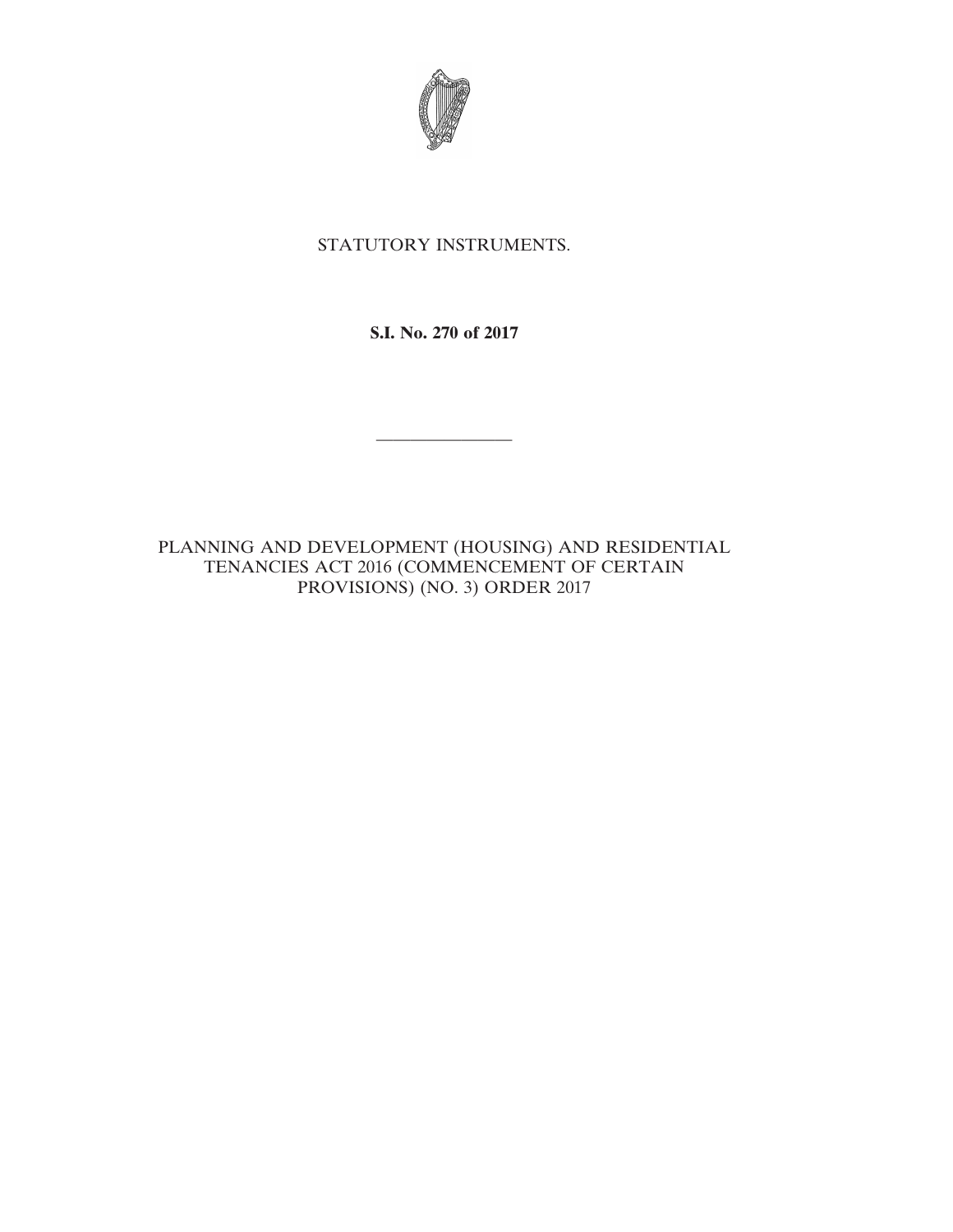

## STATUTORY INSTRUMENTS.

**S.I. No. 270 of 2017**

————————

PLANNING AND DEVELOPMENT (HOUSING) AND RESIDENTIAL TENANCIES ACT 2016 (COMMENCEMENT OF CERTAIN PROVISIONS) (NO. 3) ORDER 2017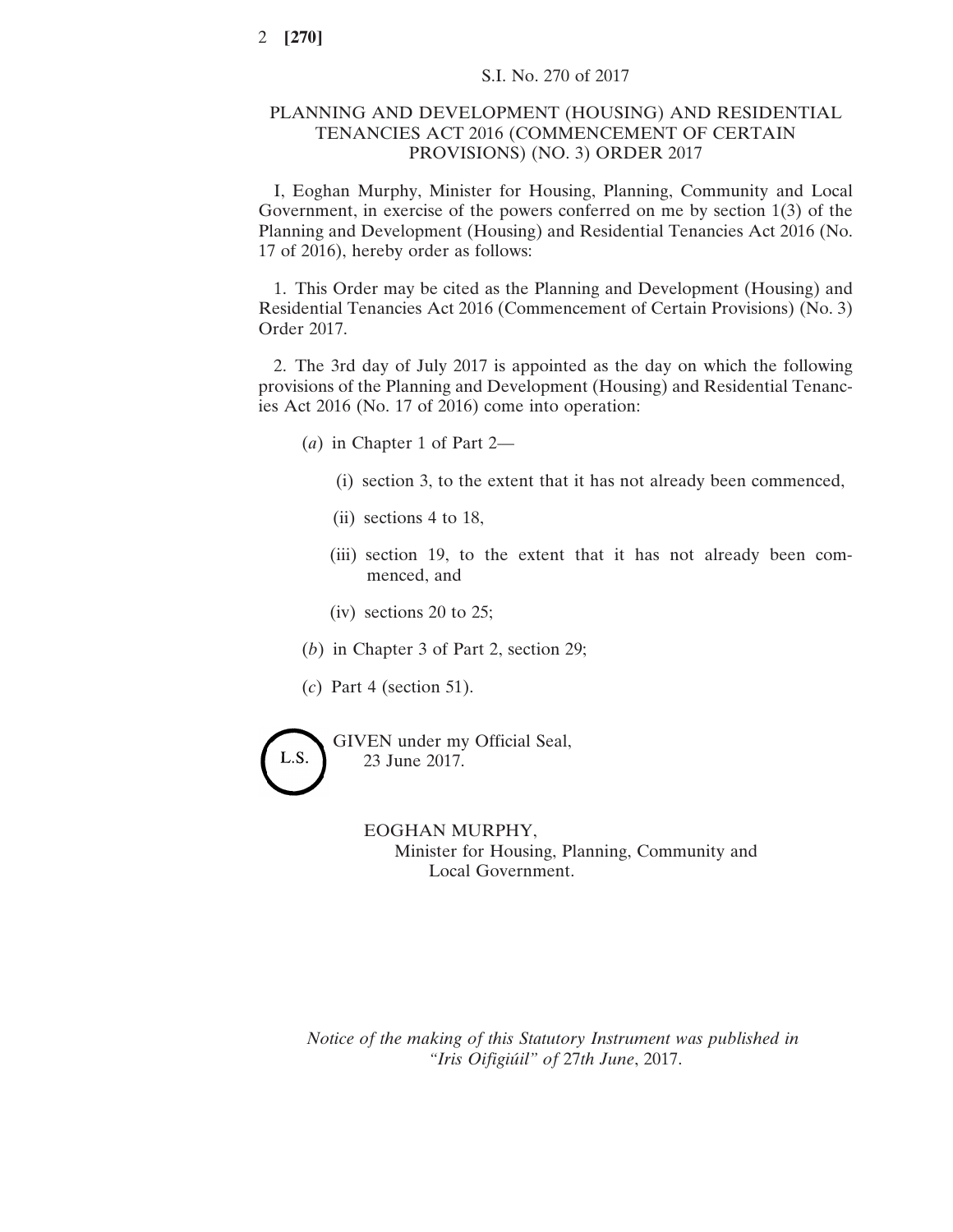## PLANNING AND DEVELOPMENT (HOUSING) AND RESIDENTIAL TENANCIES ACT 2016 (COMMENCEMENT OF CERTAIN PROVISIONS) (NO. 3) ORDER 2017

I, Eoghan Murphy, Minister for Housing, Planning, Community and Local Government, in exercise of the powers conferred on me by section 1(3) of the Planning and Development (Housing) and Residential Tenancies Act 2016 (No. 17 of 2016), hereby order as follows:

1. This Order may be cited as the Planning and Development (Housing) and Residential Tenancies Act 2016 (Commencement of Certain Provisions) (No. 3) Order 2017.

2. The 3rd day of July 2017 is appointed as the day on which the following provisions of the Planning and Development (Housing) and Residential Tenancies Act 2016 (No. 17 of 2016) come into operation:

- (*a*) in Chapter 1 of Part 2—
	- (i) section 3, to the extent that it has not already been commenced,
	- (ii) sections 4 to 18,
	- (iii) section 19, to the extent that it has not already been commenced, and
	- (iv) sections 20 to 25;
- (*b*) in Chapter 3 of Part 2, section 29;
- (*c*) Part 4 (section 51).

L.S.

GIVEN under my Official Seal, 23 June 2017.

> EOGHAN MURPHY, Minister for Housing, Planning, Community and Local Government.

*Notice of the making of this Statutory Instrument was published in "Iris Oifigiúil" of* 27*th June*, 2017.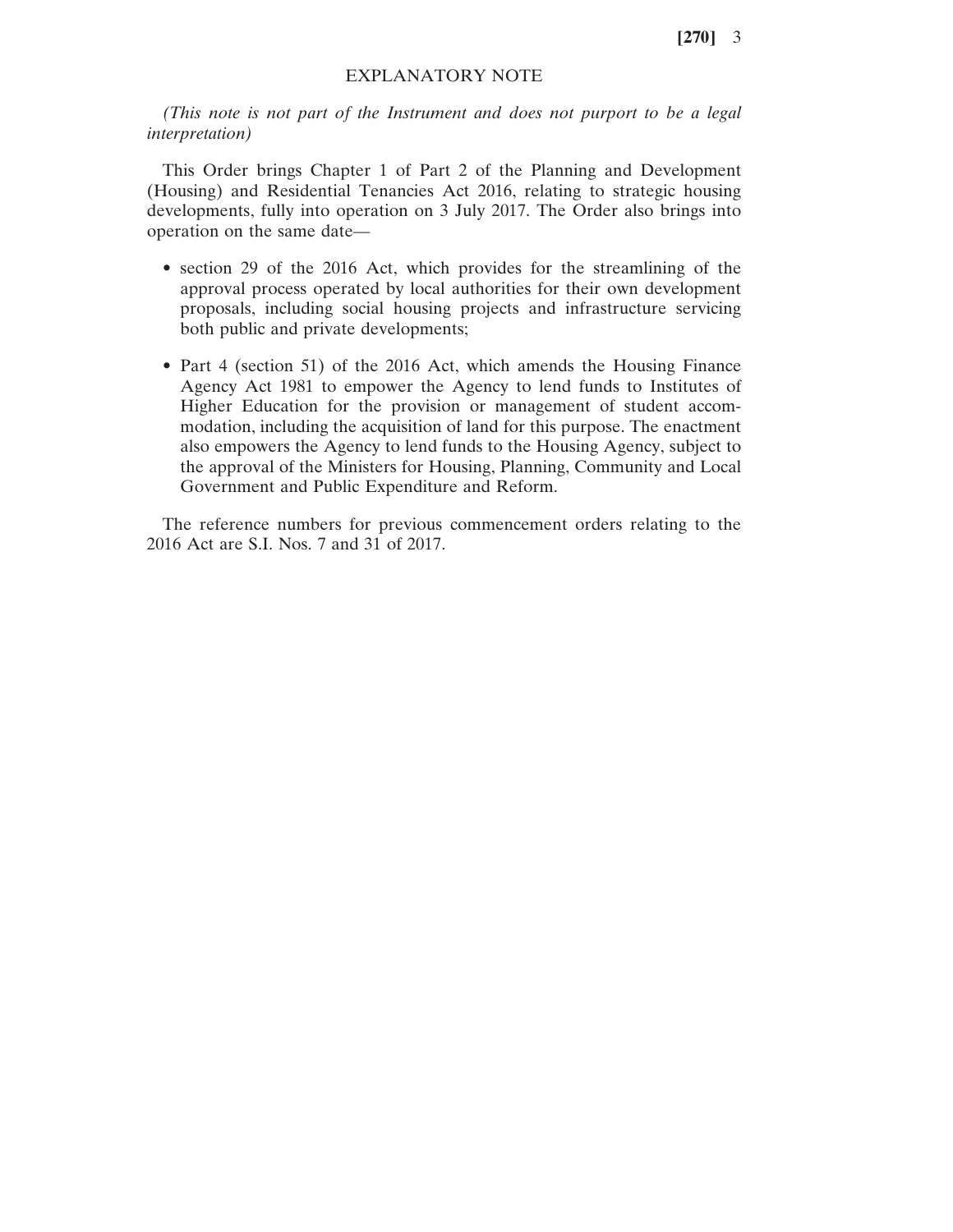**[270]** 3

## EXPLANATORY NOTE

*(This note is not part of the Instrument and does not purport to be a legal interpretation)*

This Order brings Chapter 1 of Part 2 of the Planning and Development (Housing) and Residential Tenancies Act 2016, relating to strategic housing developments, fully into operation on 3 July 2017. The Order also brings into operation on the same date—

- section 29 of the 2016 Act, which provides for the streamlining of the approval process operated by local authorities for their own development proposals, including social housing projects and infrastructure servicing both public and private developments;
- Part 4 (section 51) of the 2016 Act, which amends the Housing Finance Agency Act 1981 to empower the Agency to lend funds to Institutes of Higher Education for the provision or management of student accommodation, including the acquisition of land for this purpose. The enactment also empowers the Agency to lend funds to the Housing Agency, subject to the approval of the Ministers for Housing, Planning, Community and Local Government and Public Expenditure and Reform.

The reference numbers for previous commencement orders relating to the 2016 Act are S.I. Nos. 7 and 31 of 2017.